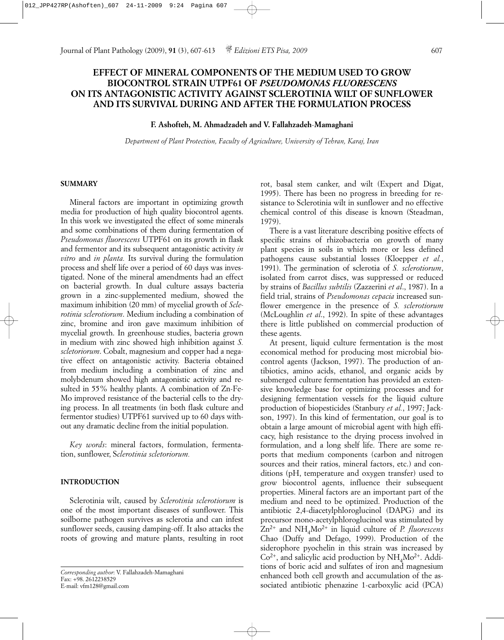# **EFFECT OF MINERAL COMPONENTS OF THE MEDIUM USED TO GROW BIOCONTROL STRAIN UTPF61 OF** *PSEUDOMONAS FLUORESCENS* **ON ITS ANTAGONISTIC ACTIVITY AGAINST SCLEROTINIA WILT OF SUNFLOWER AND ITS SURVIVAL DURING AND AFTER THE FORMULATION PROCESS**

## **F. Ashofteh, M. Ahmadzadeh and V. Fallahzadeh**-**Mamaghani**

*Department of Plant Protection, Faculty of Agriculture, University of Tehran, Karaj, Iran*

#### **SUMMARY**

Mineral factors are important in optimizing growth media for production of high quality biocontrol agents. In this work we investigated the effect of some minerals and some combinations of them during fermentation of *Pseudomonas fluorescens* UTPF61 on its growth in flask and fermentor and its subsequent antagonistic activity *in vitro* and *in planta.* Its survival during the formulation process and shelf life over a period of 60 days was investigated. None of the mineral amendments had an effect on bacterial growth. In dual culture assays bacteria grown in a zinc-supplemented medium, showed the maximum inhibition (20 mm) of mycelial growth of *Sclerotinia sclerotiorum*. Medium including a combination of zinc, bromine and iron gave maximum inhibition of mycelial growth. In greenhouse studies, bacteria grown in medium with zinc showed high inhibition against *S. scletoriorum*. Cobalt, magnesium and copper had a negative effect on antagonistic activity. Bacteria obtained from medium including a combination of zinc and molybdenum showed high antagonistic activity and resulted in 55% healthy plants. A combination of Zn-Fe-Mo improved resistance of the bacterial cells to the drying process. In all treatments (in both flask culture and fermentor studies) UTPF61 survived up to 60 days without any dramatic decline from the initial population.

*Key words*: mineral factors, formulation, fermentation, sunflower, S*clerotinia scletoriorum.*

## **INTRODUCTION**

Sclerotinia wilt, caused by *Sclerotinia sclerotiorum* is one of the most important diseases of sunflower. This soilborne pathogen survives as sclerotia and can infest sunflower seeds, causing damping-off. It also attacks the roots of growing and mature plants, resulting in root

*Corresponding author*: V. Fallahzadeh-Mamaghani Fax: +98. 2612238529 E-mail: vfm128@gmail.com

rot, basal stem canker, and wilt (Expert and Digat, 1995). There has been no progress in breeding for resistance to Sclerotinia wilt in sunflower and no effective chemical control of this disease is known (Steadman, 1979).

There is a vast literature describing positive effects of specific strains of rhizobacteria on growth of many plant species in soils in which more or less defined pathogens cause substantial losses (Kloepper *et al.*, 1991). The germination of sclerotia of *S. sclerotiorum*, isolated from carrot discs, was suppressed or reduced by strains of *Bacillus subtilis* (Zazzerini *et al*., 1987). In a field trial, strains of *Pseudomonas cepacia* increased sunflower emergence in the presence of *S. sclerotiorum* (McLoughlin *et al*., 1992). In spite of these advantages there is little published on commercial production of these agents.

At present, liquid culture fermentation is the most economical method for producing most microbial biocontrol agents (Jackson, 1997). The production of antibiotics, amino acids, ethanol, and organic acids by submerged culture fermentation has provided an extensive knowledge base for optimizing processes and for designing fermentation vessels for the liquid culture production of biopesticides (Stanbury *et al.*, 1997; Jackson, 1997). In this kind of fermentation, our goal is to obtain a large amount of microbial agent with high efficacy, high resistance to the drying process involved in formulation, and a long shelf life. There are some reports that medium components (carbon and nitrogen sources and their ratios, mineral factors, etc.) and conditions (pH, temperature and oxygen transfer) used to grow biocontrol agents, influence their subsequent properties. Mineral factors are an important part of the medium and need to be optimized. Production of the antibiotic 2,4-diacetylphloroglucinol (DAPG) and its precursor mono-acetylphloroglucinol was stimulated by Zn2+ and NH4Mo2+ in liquid culture of *P. fluorescens* Chao (Duffy and Defago, 1999). Production of the siderophore pyochelin in this strain was increased by  $Co<sup>2+</sup>$ , and salicylic acid production by NH<sub>4</sub>Mo<sup>2+</sup>. Additions of boric acid and sulfates of iron and magnesium enhanced both cell growth and accumulation of the associated antibiotic phenazine 1-carboxylic acid (PCA)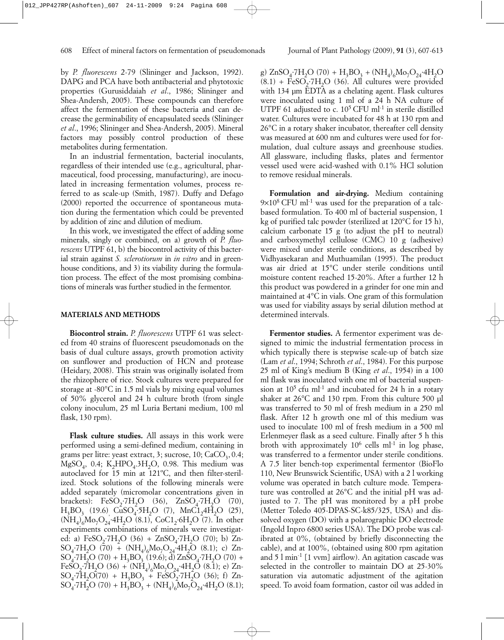by *P. fluorescens* 2-79 (Slininger and Jackson, 1992). DAPG and PCA have both antibacterial and phytotoxic properties (Gurusiddaiah *et al*., 1986; Slininger and Shea-Andersh, 2005). These compounds can therefore affect the fermentation of these bacteria and can decrease the germinability of encapsulated seeds (Slininger *et al*., 1996; Slininger and Shea-Andersh, 2005). Mineral factors may possibly control production of these metabolites during fermentation.

In an industrial fermentation, bacterial inoculants, regardless of their intended use (e.g., agricultural, pharmaceutical, food processing, manufacturing), are inoculated in increasing fermentation volumes, process referred to as scale-up (Smith, 1987). Duffy and Defago (2000) reported the occurrence of spontaneous mutation during the fermentation which could be prevented by addition of zinc and dilution of medium.

In this work, we investigated the effect of adding some minerals, singly or combined, on a) growth of *P. fluorescens* UTPF 61, b) the biocontrol activity of this bacterial strain against *S. sclerotiorum* in *in vitro* and in greenhouse conditions, and 3) its viability during the formulation process. The effect of the most promising combinations of minerals was further studied in the fermentor.

### **MATERIALS AND METHODS**

**Biocontrol strain.** *P. fluorescens* UTPF 61 was selected from 40 strains of fluorescent pseudomonads on the basis of dual culture assays, growth promotion activity on sunflower and production of HCN and protease (Heidary, 2008). This strain was originally isolated from the rhizophere of rice. Stock cultures were prepared for storage at -80°C in 1.5 ml vials by mixing equal volumes of 50% glycerol and 24 h culture broth (from single colony inoculum, 25 ml Luria Bertani medium, 100 ml flask, 130 rpm).

**Flask culture studies.** All assays in this work were performed using a semi-defined medium, containing in grams per litre: yeast extract, 3; sucrose,  $10$ ; CaCO<sub>3</sub>, 0.4;  $MgSO<sub>4</sub>$ , 0.4; K<sub>2</sub>HPO<sub>4</sub>.3H<sub>2</sub>O, 0.98. This medium was autoclaved for 15 min at 121ºC, and then filter-sterilized. Stock solutions of the following minerals were added separately (micromolar concentrations given in brackets): FeSO<sub>2</sub>·7H<sub>2</sub>O (36), ZnSO<sub>4</sub>·7H<sub>2</sub>O (70),  $H_3BO_3$  (19.6)  $CuSO_4.5H_2O$  (7),  $MnCl_24H_2O$  (25),  $(NH_4)_{6}M_0-O_{24}$  4H<sub>2</sub>O (8.1), CoC1<sub>2</sub> 6H<sub>2</sub>O (7). In other experiments combinations of minerals were investigated: a) FeSO<sub>2</sub>·7H<sub>2</sub>O (36) + ZnSO<sub>4</sub>·7H<sub>2</sub>O (70); b) Zn- $SO_4$ -7 $H_2O$  (70) + (N $H_4$ )<sub>6</sub> $Mo_7O_{24}$ -4 $H_2O$  (8.1); c) Zn- $SO_4$ ·7H<sub>2</sub>O (70) + H<sub>3</sub>BO<sub>3</sub> (19.6); d) ZnSO<sub>4</sub>·7H<sub>2</sub>O (70) + FeSO<sub>2</sub>·7H<sub>2</sub>O (36) + (NH<sub>4</sub>)<sub>6</sub>Mo<sub>7</sub>O<sub>24</sub>·4H<sub>2</sub>O (8.1); e) Zn- $SO_4$ :7H<sub>2</sub>O(70) + H<sub>3</sub>BO<sub>3</sub> + FeSO<sub>2</sub>:7H<sub>2</sub>O (36); f) Zn- $SO_4$ -7 $H_2O$  (70) +  $H_3BO_3 + (NH_4)_6Mo_7O_{24}$ -4 $H_2O$  (8.1);

g)  $ZnSO_4$ ·7H<sub>2</sub>O (70) + H<sub>3</sub>BO<sub>3</sub> + (NH<sub>4</sub>)<sub>6</sub>Mo<sub>7</sub>O<sub>24</sub>·4H<sub>2</sub>O  $(8.1)$  + FeSO<sub>2</sub>.7H<sub>2</sub>O (36). All cultures were provided with 134 um EDTA as a chelating agent. Flask cultures were inoculated using 1 ml of a 24 h NA culture of UTPF 61 adjusted to c.  $10^5$  CFU ml<sup>-1</sup> in sterile distilled water. Cultures were incubated for 48 h at 130 rpm and 26°C in a rotary shaker incubator, thereafter cell density was measured at 600 nm and cultures were used for formulation, dual culture assays and greenhouse studies. All glassware, including flasks, plates and fermentor vessel used were acid-washed with 0.1% HCl solution to remove residual minerals.

**Formulation and air-drying.** Medium containing  $9\times10^8$  CFU ml<sup>-1</sup> was used for the preparation of a talcbased formulation. To 400 ml of bacterial suspension, 1 kg of purified talc powder (sterilized at 120°C for 15 h), calcium carbonate 15 g (to adjust the pH to neutral) and carboxymethyl cellulose (CMC) 10 g (adhesive) were mixed under sterile conditions, as described by Vidhyasekaran and Muthuamilan (1995). The product was air dried at 15°C under sterile conditions until moisture content reached 15-20%. After a further 12 h this product was powdered in a grinder for one min and maintained at 4°C in vials. One gram of this formulation was used for viability assays by serial dilution method at determined intervals.

**Fermentor studies.** A fermentor experiment was designed to mimic the industrial fermentation process in which typically there is stepwise scale-up of batch size (Lam *et al*., 1994; Schroth *et al*., 1984). For this purpose 25 ml of King's medium B (King *et al*., 1954) in a 100 ml flask was inoculated with one ml of bacterial suspension at  $10^5$  cfu ml<sup>-1</sup> and incubated for 24 h in a rotary shaker at 26°C and 130 rpm. From this culture 500 µl was transferred to 50 ml of fresh medium in a 250 ml flask. After 12 h growth one ml of this medium was used to inoculate 100 ml of fresh medium in a 500 ml Erlenmeyer flask as a seed culture. Finally after 5 h this broth with approximately  $10^6$  cells ml<sup>-1</sup> in log phase, was transferred to a fermentor under sterile conditions. A 7.5 liter bench-top experimental fermentor (BioFlo 110, New Brunswick Scientific, USA) with a 2 l working volume was operated in batch culture mode. Temperature was controlled at 26°C and the initial pH was adjusted to 7. The pH was monitored by a pH probe (Metter Toledo 405-DPAS-SC-k85/325, USA) and dissolved oxygen (DO) with a polarographic DO electrode (Ingold Inpro 6800 series USA). The DO probe was calibrated at 0%, (obtained by briefly disconnecting the cable), and at 100%, (obtained using 800 rpm agitation and 5 l min-1 [1 vvm] airflow). An agitation cascade was selected in the controller to maintain DO at 25-30% saturation via automatic adjustment of the agitation speed. To avoid foam formation, castor oil was added in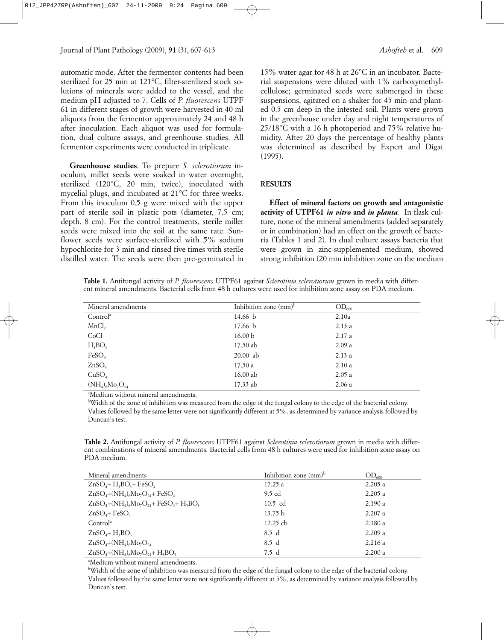automatic mode. After the fermentor contents had been sterilized for 25 min at 121°C, filter-sterilized stock solutions of minerals were added to the vessel, and the medium pH adjusted to 7. Cells of *P. fluorescens* UTPF 61 in different stages of growth were harvested in 40 ml aliquots from the fermentor approximately 24 and 48 h after inoculation. Each aliquot was used for formulation, dual culture assays, and greenhouse studies. All fermentor experiments were conducted in triplicate.

**Greenhouse studies**. To prepare *S. sclerotiorum* inoculum*,* millet seeds were soaked in water overnight, sterilized (120°C, 20 min, twice), inoculated with mycelial plugs, and incubated at 21°C for three weeks. From this inoculum 0.5 g were mixed with the upper part of sterile soil in plastic pots (diameter, 7.5 cm; depth, 8 cm). For the control treatments, sterile millet seeds were mixed into the soil at the same rate. Sunflower seeds were surface-sterilized with 5% sodium hypochlorite for 3 min and rinsed five times with sterile distilled water. The seeds were then pre-germinated in

15% water agar for 48 h at 26°C in an incubator. Bacterial suspensions were diluted with 1% carboxymethylcellulose; germinated seeds were submerged in these suspensions, agitated on a shaker for 45 min and planted 0.5 cm deep in the infested soil. Plants were grown in the greenhouse under day and night temperatures of 25/18°C with a 16 h photoperiod and 75% relative humidity. After 20 days the percentage of healthy plants was determined as described by Expert and Digat (1995).

#### **RESULTS**

**Effect of mineral factors on growth and antagonistic activity of UTPF61** *in vitro* **and** *in planta.* In flask culture, none of the mineral amendments (added separately or in combination) had an effect on the growth of bacteria (Tables 1 and 2). In dual culture assays bacteria that were grown in zinc-supplemented medium, showed strong inhibition (20 mm inhibition zone on the medium

**Table 1.** Antifungal activity of *P. flourescens* UTPF61 against *Sclerotinia sclerotiorum* grown in media with different mineral amendments*.* Bacterial cells from 48 h cultures were used for inhibition zone assay on PDA medium.

| Mineral amendments       | Inhibition zone (mm) <sup>b</sup> | $OD_{600}$ |
|--------------------------|-----------------------------------|------------|
| Control <sup>a</sup>     | 14.66 b                           | 2.10a      |
| MnCl <sub>2</sub>        | 17.66 <sub>b</sub>                | 2.13a      |
| CoCl                     | 16.00 <sub>b</sub>                | 2.17a      |
| $H_3BO_3$                | 17.50 ab                          | 2.09a      |
| FeSO <sub>4</sub>        | $20.00$ ab                        | 2.13a      |
| ZnSO <sub>4</sub>        | 17.50a                            | 2.10a      |
| CuSO <sub>4</sub>        | 16.00 ab                          | 2.05a      |
| $(NH_4)_{6}Mo_{7}O_{24}$ | 17.33 ab                          | 2.06a      |

a Medium without mineral amendments.

b Width of the zone of inhibition was measured from the edge of the fungal colony to the edge of the bacterial colony. Values followed by the same letter were not significantly different at 5%, as determined by variance analysis followed by Duncan's test.

**Table 2.** Antifungal activity of *P. flourescens* UTPF61 against *Sclerotinia sclerotiorum* grown in media with different combinations of mineral amendments*.* Bacterial cells from 48 h cultures were used for inhibition zone assay on PDA medium.

| Mineral amendments                         | Inhibition zone $\text{(mm)}^{\text{b}}$ | $OD_{600}$ |
|--------------------------------------------|------------------------------------------|------------|
| $ZnSO4+H3BO3+FeSO4$                        | 17.25a                                   | 2.205a     |
| $ZnSO4+ (NH4)6Mo7O24 + FeSO4$              | 9.5 cd                                   | 2.205a     |
| $ZnSO_4+(NH_4)_6Mo_7O_{24}+FeSO_4+H_3BO_3$ | $10.5$ cd                                | 2.190 a    |
| $ZnSO4$ + FeSO <sub>4</sub>                | 13.75 b                                  | 2.207a     |
| Control <sup>a</sup>                       | 12.25 cb                                 | 2.180a     |
| $ZnSO4+H3BO3$                              | 8.5 d                                    | 2.209a     |
| $ZnSO_4+(NH_4)_6Mo_7O_{24}$                | 8.5 d                                    | 2.216a     |
| $ZnSO_4+(NH_4)_6Mo_7O_{24}+H_3BO_3$        | 7.5 d                                    | 2.200 a    |

a Medium without mineral amendments.

b Width of the zone of inhibition was measured from the edge of the fungal colony to the edge of the bacterial colony. Values followed by the same letter were not significantly different at 5%, as determined by variance analysis followed by Duncan's test.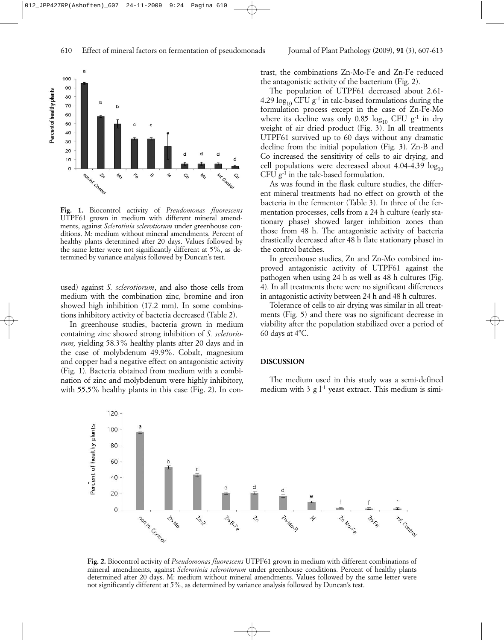

**Fig. 1.** Biocontrol activity of *Pseudomonas fluorescens* UTPF61 grown in medium with different mineral amendments, against *Sclerotinia sclerotiorum* under greenhouse conditions. M: medium without mineral amendments. Percent of healthy plants determined after 20 days. Values followed by the same letter were not significantly different at 5%, as determined by variance analysis followed by Duncan's test.

used) against *S. sclerotiorum*, and also those cells from medium with the combination zinc, bromine and iron showed high inhibition (17.2 mm). In some combinations inhibitory activity of bacteria decreased (Table 2).

In greenhouse studies, bacteria grown in medium containing zinc showed strong inhibition of *S. scletoriorum,* yielding 58.3% healthy plants after 20 days and in the case of molybdenum 49.9%. Cobalt, magnesium and copper had a negative effect on antagonistic activity (Fig. 1). Bacteria obtained from medium with a combination of zinc and molybdenum were highly inhibitory, with 55.5% healthy plants in this case (Fig. 2). In contrast, the combinations Zn-Mo-Fe and Zn-Fe reduced the antagonistic activity of the bacterium (Fig. 2).

The population of UTPF61 decreased about 2.61- 4.29  $\log_{10}$  CFU g<sup>-1</sup> in talc-based formulations during the formulation process except in the case of Zn-Fe-Mo where its decline was only 0.85  $log_{10}$  CFU g<sup>-1</sup> in dry weight of air dried product (Fig. 3). In all treatments UTPF61 survived up to 60 days without any dramatic decline from the initial population (Fig. 3). Zn-B and Co increased the sensitivity of cells to air drying, and cell populations were decreased about 4.04-4.39  $log_{10}$ CFU  $g^{-1}$  in the talc-based formulation.

As was found in the flask culture studies, the different mineral treatments had no effect on growth of the bacteria in the fermentor (Table 3). In three of the fermentation processes, cells from a 24 h culture (early stationary phase) showed larger inhibition zones than those from 48 h. The antagonistic activity of bacteria drastically decreased after 48 h (late stationary phase) in the control batches.

In greenhouse studies, Zn and Zn-Mo combined improved antagonistic activity of UTPF61 against the pathogen when using 24 h as well as 48 h cultures (Fig. 4). In all treatments there were no significant differences in antagonistic activity between 24 h and 48 h cultures.

Tolerance of cells to air drying was similar in all treatments (Fig. 5) and there was no significant decrease in viability after the population stabilized over a period of 60 days at 4ºC.

#### **DISCUSSION**

The medium used in this study was a semi-defined medium with 3 g  $l<sup>-1</sup>$  yeast extract. This medium is simi-



**Fig. 2.** Biocontrol activity of *Pseudomonas fluorescens* UTPF61 grown in medium with different combinations of mineral amendments, against *Sclerotinia sclerotiorum* under greenhouse conditions. Percent of healthy plants determined after 20 days. M: medium without mineral amendments. Values followed by the same letter were not significantly different at 5%, as determined by variance analysis followed by Duncan's test.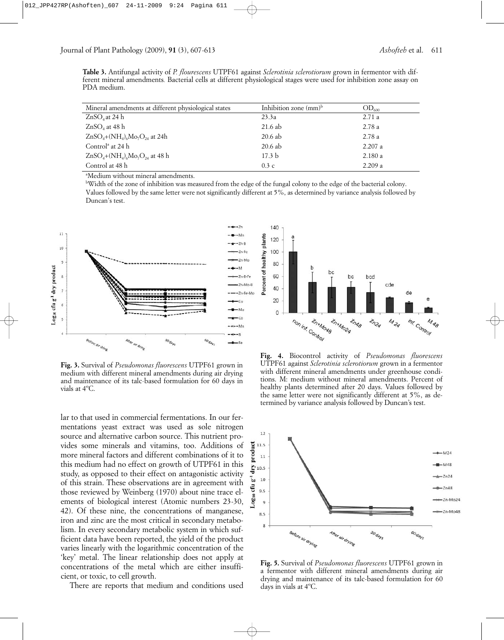**Table 3.** Antifungal activity of *P. flourescens* UTPF61 against *Sclerotinia sclerotiorum* grown in fermentor with different mineral amendments*.* Bacterial cells at different physiological stages were used for inhibition zone assay on PDA medium.

| Mineral amendments at different physiological states | Inhibition zone $\text{(mm)}^{\text{b}}$ | $\mathrm{OD}_\mathrm{\scriptscriptstyle 600}$ |
|------------------------------------------------------|------------------------------------------|-----------------------------------------------|
| $ZnSO4$ at 24 h                                      | 23.3a                                    | 2.71a                                         |
| $ZnSO4$ at 48 h                                      | 21.6 ab                                  | 2.78 a                                        |
| $ZnSO_4+(NH_4)_6Mo_7O_{24}$ at 24h                   | $20.6$ ab                                | 2.78a                                         |
| Control <sup>ª</sup> at 24 h                         | $20.6$ ab                                | 2.207a                                        |
| $ZnSO_4+(NH_4)_6Mo_7O_{24}$ at 48 h                  | 17.3 <sub>b</sub>                        | 2.180a                                        |
| Control at 48 h                                      | 0.3c                                     | 2.209a                                        |

a Medium without mineral amendments.

b Width of the zone of inhibition was measured from the edge of the fungal colony to the edge of the bacterial colony. Values followed by the same letter were not significantly different at 5%, as determined by variance analysis followed by Duncan's test.



**Fig. 3.** Survival of *Pseudomonas fluorescens* UTPF61 grown in medium with different mineral amendments during air drying and maintenance of its talc-based formulation for 60 days in vials at 4ºC.

lar to that used in commercial fermentations. In our fermentations yeast extract was used as sole nitrogen source and alternative carbon source. This nutrient provides some minerals and vitamins, too. Additions of more mineral factors and different combinations of it to this medium had no effect on growth of UTPF61 in this study, as opposed to their effect on antagonistic activity of this strain. These observations are in agreement with those reviewed by Weinberg (1970) about nine trace elements of biological interest (Atomic numbers 23-30, 42). Of these nine, the concentrations of manganese, iron and zinc are the most critical in secondary metabolism. In every secondary metabolic system in which sufficient data have been reported, the yield of the product varies linearly with the logarithmic concentration of the 'key' metal. The linear relationship does not apply at concentrations of the metal which are either insufficient, or toxic, to cell growth.

There are reports that medium and conditions used



**Fig. 4.** Biocontrol activity of *Pseudomonas fluorescens* UTPF61 against *Sclerotinia sclerotiorum* grown in a fermentor with different mineral amendments under greenhouse conditions. M: medium without mineral amendments. Percent of healthy plants determined after 20 days. Values followed by the same letter were not significantly different at 5%, as determined by variance analysis followed by Duncan's test.



**Fig. 5.** Survival of *Pseudomonas fluorescens* UTPF61 grown in a fermentor with different mineral amendments during air drying and maintenance of its talc-based formulation for 60 days in vials at 4ºC.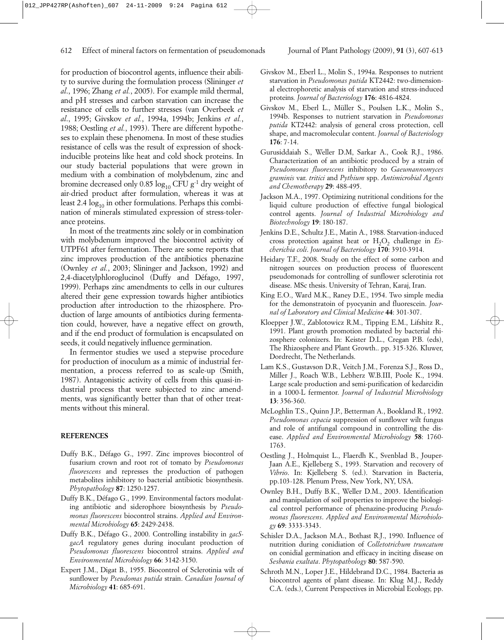for production of biocontrol agents, influence their ability to survive during the formulation process (Slininger *et al*., 1996; Zhang *et al.*, 2005). For example mild thermal, and pH stresses and carbon starvation can increase the resistance of cells to further stresses (van Overbeek *et al*., 1995; Givskov *et al.*, 1994a, 1994b; Jenkins *et al.*, 1988; Oestling *et al.*, 1993). There are different hypotheses to explain these phenomena. In most of these studies resistance of cells was the result of expression of shockinducible proteins like heat and cold shock proteins. In our study bacterial populations that were grown in medium with a combination of molybdenum, zinc and bromine decreased only 0.85  $log_{10}$  CFU g<sup>-1</sup> dry weight of air-dried product after formulation, whereas it was at least 2.4  $log_{10}$  in other formulations. Perhaps this combination of minerals stimulated expression of stress-tolerance proteins.

In most of the treatments zinc solely or in combination with molybdenum improved the biocontrol activity of UTPF61 after fermentation. There are some reports that zinc improves production of the antibiotics phenazine (Ownley *et al.*, 2003; Slininger and Jackson, 1992) and 2,4-diacetylphloroglucinol (Duffy and Défago, 1997, 1999). Perhaps zinc amendments to cells in our cultures altered their gene expression towards higher antibiotics production after introduction to the rhizosphere. Production of large amounts of antibiotics during fermentation could, however, have a negative effect on growth, and if the end product of formulation is encapsulated on seeds, it could negatively influence germination.

In fermentor studies we used a stepwise procedure for production of inoculum as a mimic of industrial fermentation, a process referred to as scale-up (Smith, 1987). Antagonistic activity of cells from this quasi-industrial process that were subjected to zinc amendments, was significantly better than that of other treatments without this mineral.

#### **REFERENCES**

- Duffy B.K., Défago G., 1997. Zinc improves biocontrol of fusarium crown and root rot of tomato by *Pseudomonas fluorescens* and represses the production of pathogen metabolites inhibitory to bacterial antibiotic biosynthesis. *Phytopathology* **87**: 1250-1257.
- Duffy B.K., Défago G., 1999. Environmental factors modulating antibiotic and siderophore biosynthesis by *Pseudomonas fluorescens* biocontrol strains. *Applied and Environmental Microbiology* **65**: 2429-2438.
- Duffy B.K., Défago G., 2000. Controlling instability in *gacSgacA* regulatory genes during inoculant production of *Pseudomonas fluorescens* biocontrol strains. *Applied and Environmental Microbiology* **66**: 3142-3150.
- Expert J.M., Digat B., 1955. Biocontrol of Sclerotinia wilt of sunflower by *Pseudomas putida* strain. *Canadian Journal of Microbiology* **41**: 685-691.
- Givskov M., Eberl L., Molin S., 1994a. Responses to nutrient starvation in *Pseudomonas putida* KT2442: two-dimensional electrophoretic analysis of starvation and stress-induced proteins*. Journal of Bacteriology* **176**: 4816-4824.
- Givskov M., Eberl L., Müller S., Poulsen L.K., Molin S., 1994b. Responses to nutrient starvation in *Pseudomonas putida* KT2442: analysis of general cross protection, cell shape, and macromolecular content. *Journal of Bacteriology* **176**: 7-14.
- Gurusiddaiah S., Weller D.M, Sarkar A., Cook R.J., 1986. Characterization of an antibiotic produced by a strain of *Pseudomonas fluorescens* inhibitory to *Gaeumannomyces graminis* var. *tritici* and *Pythium* spp. *Antimicrobial Agents and Chemotherapy* **29**: 488-495.
- Jackson M.A., 1997. Optimizing nutritional conditions for the liquid culture production of effective fungal biological control agents. *Journal of Industrial Microbiology and Biotechnology* **19**: 180-187.
- Jenkins D.E., Schultz J.E., Matin A., 1988. Starvation-induced cross protection against heat or H<sub>2</sub>O<sub>2</sub> challenge in *Escherichia coli*. *Journal of Bacteriology* **170**: 3910-3914.
- Heidary T.F., 2008. Study on the effect of some carbon and nitrogen sources on production process of fluorescent pseudomonads for controlling of sunflower sclerotinia rot disease. MSc thesis. University of Tehran, Karaj, Iran.
- King E.O., Ward M.K., Raney D.E., 1954. Two simple media for the demonstratoin of pyocyanin and fluorescein. *Journal of Laboratory and Clinical Medicine* **44**: 301-307.
- Kloepper J.W., Zablotowicz R.M., Tipping E.M., Lifshitz R., 1991. Plant growth promotion mediated by bacterial rhizosphere colonizers. In: Keister D.L., Cregan P.B. (eds), The Rhizosphere and Plant Growth.. pp. 315-326. Kluwer, Dordrecht, The Netherlands.
- Lam K.S., Gustavson D.R., Veitch J.M., Forenza S.J., Ross D., Miller J., Roach W.B., Lebherz W.B.III, Poole K., 1994. Large scale production and semi-purification of kedarcidin in a 1000-L fermentor. *Journal of Industrial Microbiology* **13**: 356-360.
- McLoghlin T.S., Quinn J.P., Betterman A., Bookland R., 1992. *Pseudomonas cepacia* suppression of sunflower wilt fungus and role of antifungal compound in controlling the disease. *Applied and Environmental Microbiology* **58**: 1760- 1763.
- Oestling J., Holmquist L., Flaerdh K., Svenblad B., Jouper-Jaan A.E., Kjelleberg S., 1993. Starvation and recovery of *Vibrio*. In: Kjelleberg S. (ed.). Starvation in Bacteria, pp.103-128. Plenum Press, New York, NY, USA.
- Ownley B.H., Duffy B.K., Weller D.M., 2003. Identification and manipulation of soil properties to improve the biological control performance of phenazine-producing *Pseudomonas fluorescens*. *Applied and Environmental Microbiology* **69**: 3333-3343.
- Schisler D.A., Jackson M.A., Bothast R.J., 1990. Influence of nutrition during conidiation of *Colletotrichum truncatum* on conidial germination and efficacy in inciting disease on *Sesbania exaltata*. *Phytopathology* **80**: 587-590.
- Schroth M.N., Loper J.E., Hildebrand D.C., 1984. Bacteria as biocontrol agents of plant disease. In: Klug M.J., Reddy C.A. (eds.), Current Perspectives in Microbial Ecology, pp.